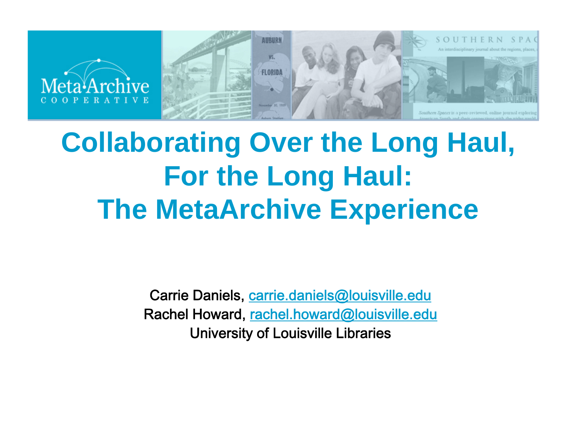

### **Collaborating Over the Long Haul, For the Long Haul: The MetaArchive Experience**

Carrie Daniels, <u>carrie.daniels@louisville.edu</u> Rachel Howard, rachel.howard@louisville.edu University of Louisville Libraries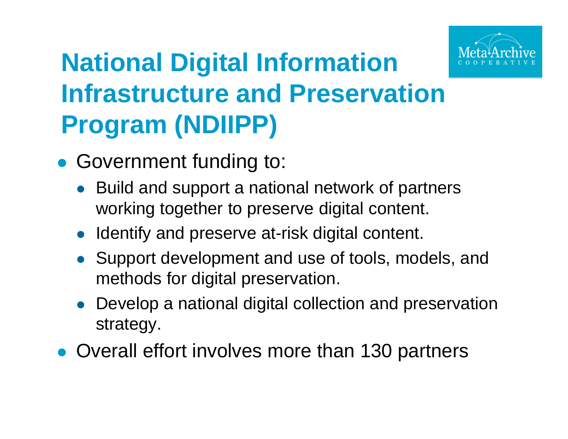

### **National Digital Information Infrastructure and Preservation Program (NDIIPP)**

- Government funding to:
	- Build and support a national network of partners working together to preserve digital content.
	- Identify and preserve at-risk digital content.
	- Support development and use of tools, models, and methods for digital preservation.
	- Develop a national digital collection and preservation strategy.
- Overall effort involves more than 130 partners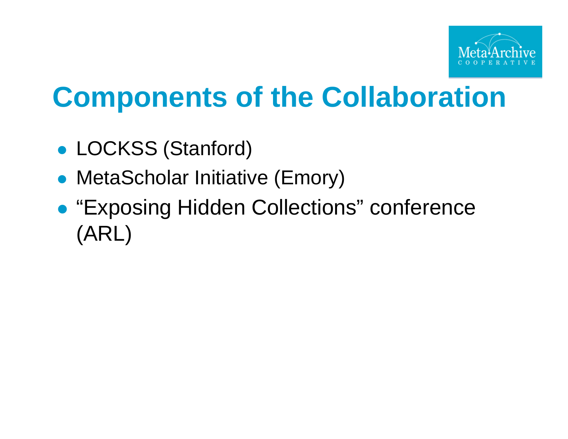

## **Components of the Collaboration**

- LOCKSS (Stanford)
- MetaScholar Initiative (Emory)
- $\bullet$ **• "Exposing Hidden Collections" conference** (ARL)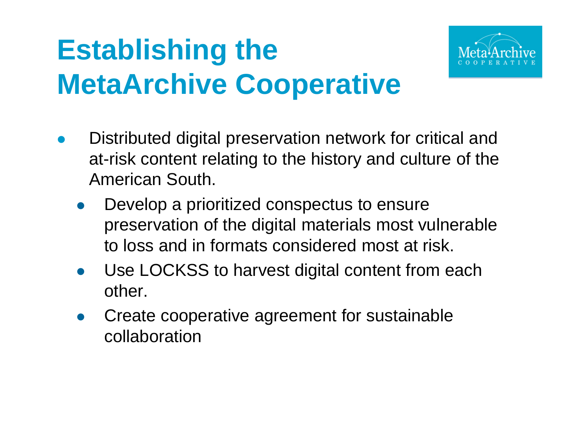# **Establishing the MetaArchive Cooperative**



- $\bullet$ Distributed digital preservation network for critical and at-risk content relating to the history and culture of the American South.
	- $\bullet$  Develop a prioritized conspectus to ensure preservation of the digital materials most vulnerable to loss and in formats considered most at risk.
	- $\bullet$  Use LOCKSS to harvest digital content from each other.
	- $\bullet$  Create cooperative agreement for sustainable collaboration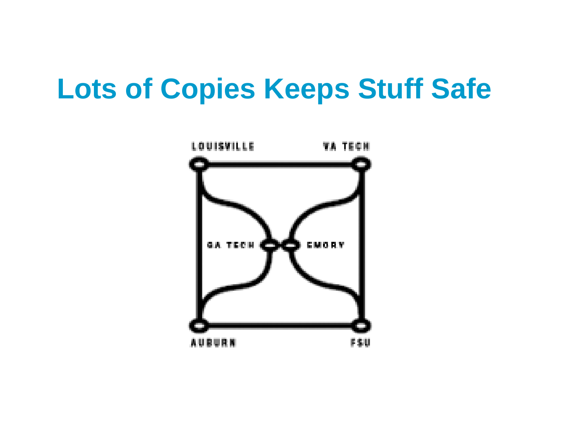#### **Lots of Copies Keeps Stuff Safe**

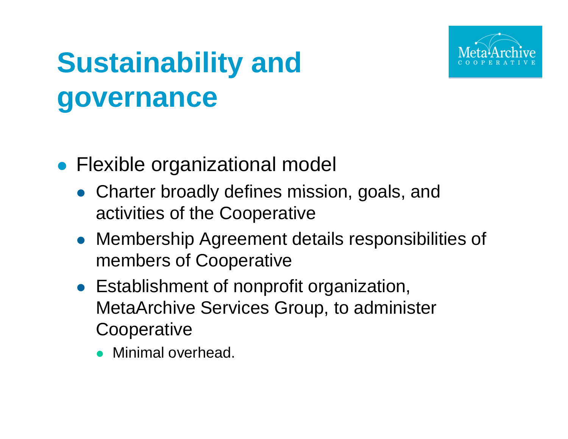

# **Sustainability and governance**

- **Flexible organizational model** 
	- Charter broadly defines mission, goals, and activities of the Cooperative
	- Membership Agreement details responsibilities of members of Cooperative
	- Establishment of nonprofit organization, MetaArchive Services Group, to administer **Cooperative** 
		- Minimal overhead.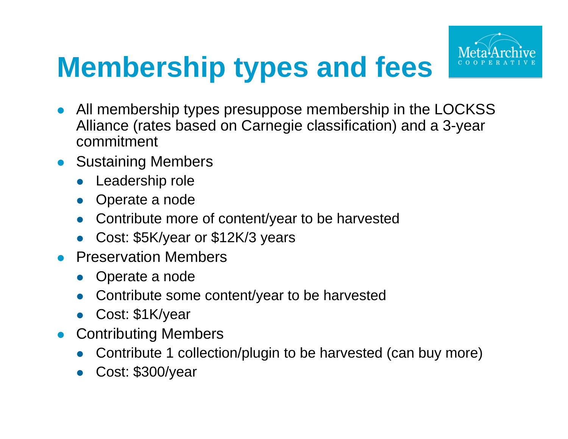# **Membership types** and **fees**



- $\bullet$  All membership types presuppose membership in the LOCKSS Alliance (rates based on Carnegie classification) and a 3-year commitment
- **Sustaining Members** 
	- $\bullet$ Leadership role
	- $\bullet$ Operate a node
	- $\bullet$ Contribute more of content/year to be harvested
	- $\bullet$ Cost: \$5K/year or \$12K/3 years
- $\bullet$  Preservation Members
	- $\bullet$ Operate a node
	- $\bullet$ Contribute some content/year to be harvested
	- $\bullet$ Cost: \$1K/year
- **Contributing Members** 
	- $\bullet$ Contribute 1 collection/plugin to be harvested (can buy more)
	- $\bullet$ Cost: \$300/year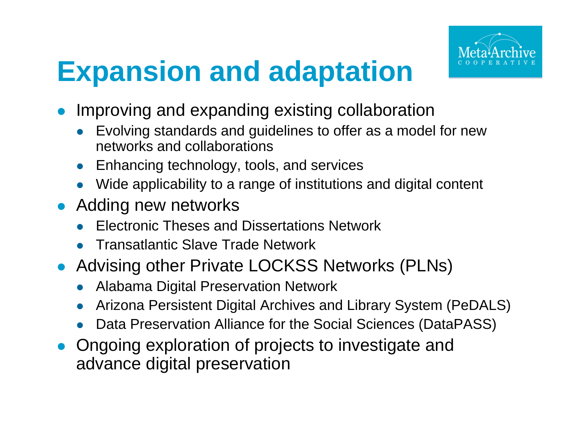

## **Expansion and adaptation**

- Improving and expanding existing collaboration
	- Evolving standards and guidelines to offer as a model for new networks and collaborations
	- Enhancing technology, tools, and services
	- Wide applicability to a range of institutions and digital content
- Adding new networks
	- **Electronic Theses and Dissertations Network**
	- **Transatlantic Slave Trade Network**
- Advising other Private LOCKSS Networks (PLNs)
	- **Alabama Digital Preservation Network**  $\bullet$
	- Arizona Persistent Digital Archives and Library System (PeDALS)
	- Data Preservation Alliance for the Social Sciences (DataPASS)
- Ongoing exploration of projects to investigate and advance digital preservation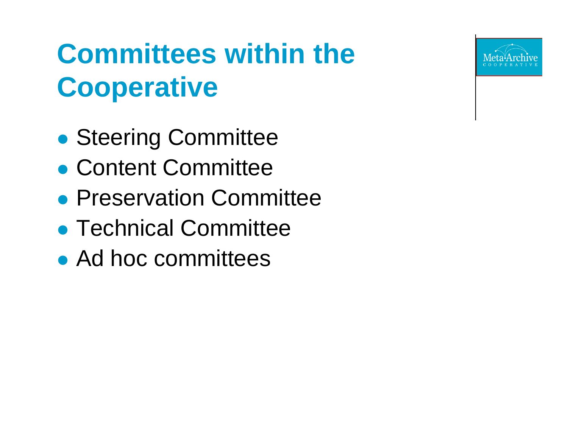

# **Committees within the C ti ooperative**

- $\bullet$ **• Steering Committee**
- Content Committee
- **Preservation Committee**
- **Technical Committee**
- Ad hoc committees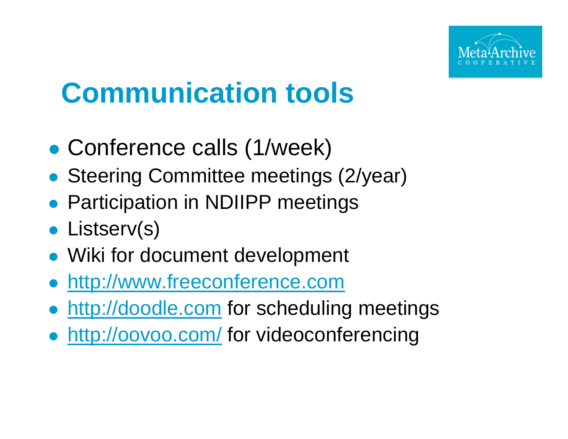

## **Communication tools**

- $\bullet$ Conference calls (1/week)
- **Steering Committee meetings (2/year)**
- **Participation in NDIIPP meetings**
- **Listserv(s)**
- Wiki for document development
- http://www.freeconference.com
- http://doodle.com for scheduling meetings
- **http://oovoo.com/ for videoconferencing**